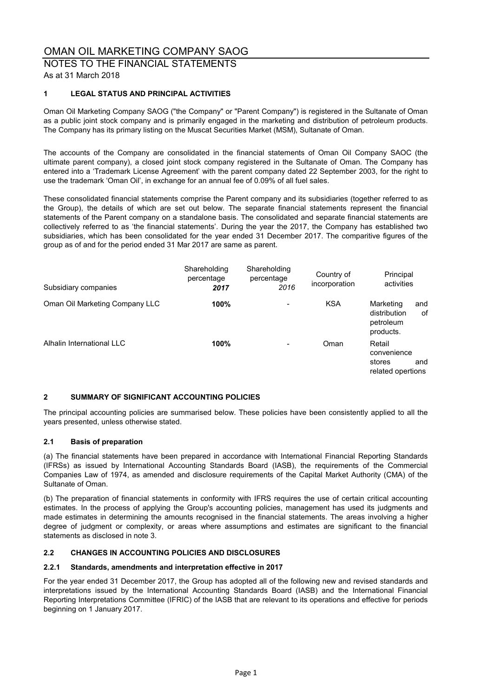# NOTES TO THE FINANCIAL STATEMENTS As at 31 March 2018

# **1 LEGAL STATUS AND PRINCIPAL ACTIVITIES**

Oman Oil Marketing Company SAOG ("the Company" or "Parent Company") is registered in the Sultanate of Oman as a public joint stock company and is primarily engaged in the marketing and distribution of petroleum products. The Company has its primary listing on the Muscat Securities Market (MSM), Sultanate of Oman.

The accounts of the Company are consolidated in the financial statements of Oman Oil Company SAOC (the ultimate parent company), a closed joint stock company registered in the Sultanate of Oman. The Company has entered into a 'Trademark License Agreement' with the parent company dated 22 September 2003, for the right to use the trademark 'Oman Oil', in exchange for an annual fee of 0.09% of all fuel sales.

These consolidated financial statements comprise the Parent company and its subsidiaries (together referred to as the Group), the details of which are set out below. The separate financial statements represent the financial statements of the Parent company on a standalone basis. The consolidated and separate financial statements are collectively referred to as 'the financial statements'. During the year the 2017, the Company has established two subsidiaries, which has been consolidated for the year ended 31 December 2017. The comparitive figures of the group as of and for the period ended 31 Mar 2017 are same as parent.

| Subsidiary companies           | Shareholding<br>percentage<br>2017 | Shareholding<br>percentage<br>2016 | Country of<br>incorporation | Principal<br>activities                                          |
|--------------------------------|------------------------------------|------------------------------------|-----------------------------|------------------------------------------------------------------|
| Oman Oil Marketing Company LLC | 100%                               | ۰                                  | <b>KSA</b>                  | Marketing<br>and<br>distribution<br>οf<br>petroleum<br>products. |
| Alhalin International LLC      | 100%                               | $\overline{\phantom{a}}$           | Oman                        | Retail<br>convenience<br>stores<br>and<br>related opertions      |

# **2 SUMMARY OF SIGNIFICANT ACCOUNTING POLICIES**

The principal accounting policies are summarised below. These policies have been consistently applied to all the years presented, unless otherwise stated.

# **2.1 Basis of preparation**

(a) The financial statements have been prepared in accordance with International Financial Reporting Standards (IFRSs) as issued by International Accounting Standards Board (IASB), the requirements of the Commercial Companies Law of 1974, as amended and disclosure requirements of the Capital Market Authority (CMA) of the Sultanate of Oman.

(b) The preparation of financial statements in conformity with IFRS requires the use of certain critical accounting estimates. In the process of applying the Group's accounting policies, management has used its judgments and made estimates in determining the amounts recognised in the financial statements. The areas involving a higher degree of judgment or complexity, or areas where assumptions and estimates are significant to the financial statements as disclosed in note 3.

# **2.2 CHANGES IN ACCOUNTING POLICIES AND DISCLOSURES**

#### **2.2.1 Standards, amendments and interpretation effective in 2017**

For the year ended 31 December 2017, the Group has adopted all of the following new and revised standards and interpretations issued by the International Accounting Standards Board (IASB) and the International Financial Reporting Interpretations Committee (IFRIC) of the IASB that are relevant to its operations and effective for periods beginning on 1 January 2017.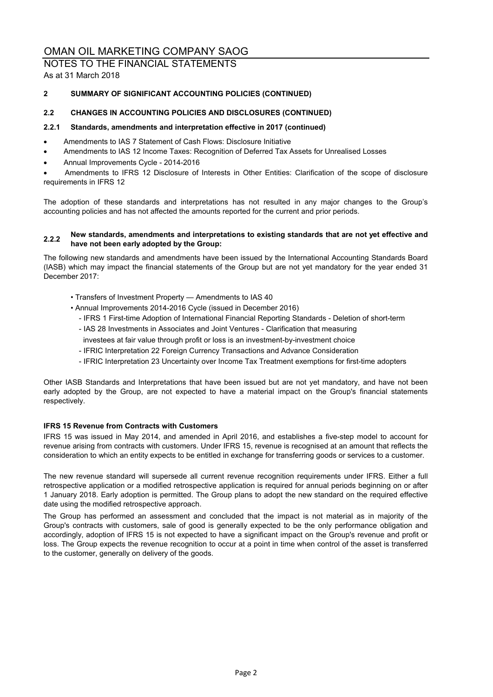NOTES TO THE FINANCIAL STATEMENTS As at 31 March 2018

# **2 SUMMARY OF SIGNIFICANT ACCOUNTING POLICIES (CONTINUED)**

# **2.2 CHANGES IN ACCOUNTING POLICIES AND DISCLOSURES (CONTINUED)**

# **2.2.1 Standards, amendments and interpretation effective in 2017 (continued)**

- Amendments to IAS 7 Statement of Cash Flows: Disclosure Initiative
- Amendments to IAS 12 Income Taxes: Recognition of Deferred Tax Assets for Unrealised Losses
- Annual Improvements Cycle 2014-2016

 Amendments to IFRS 12 Disclosure of Interests in Other Entities: Clarification of the scope of disclosure requirements in IFRS 12

The adoption of these standards and interpretations has not resulted in any major changes to the Group's accounting policies and has not affected the amounts reported for the current and prior periods.

#### **2.2.2 New standards, amendments and interpretations to existing standards that are not yet effective and have not been early adopted by the Group:**

The following new standards and amendments have been issued by the International Accounting Standards Board (IASB) which may impact the financial statements of the Group but are not yet mandatory for the year ended 31 December 2017:

- Transfers of Investment Property Amendments to IAS 40
- Annual Improvements 2014-2016 Cycle (issued in December 2016)
	- IFRS 1 First-time Adoption of International Financial Reporting Standards Deletion of short-term
	- IAS 28 Investments in Associates and Joint Ventures Clarification that measuring
	- investees at fair value through profit or loss is an investment-by-investment choice
	- IFRIC Interpretation 22 Foreign Currency Transactions and Advance Consideration
	- IFRIC Interpretation 23 Uncertainty over Income Tax Treatment exemptions for first-time adopters

Other IASB Standards and Interpretations that have been issued but are not yet mandatory, and have not been early adopted by the Group, are not expected to have a material impact on the Group's financial statements respectively.

# **IFRS 15 Revenue from Contracts with Customers**

IFRS 15 was issued in May 2014, and amended in April 2016, and establishes a five-step model to account for revenue arising from contracts with customers. Under IFRS 15, revenue is recognised at an amount that reflects the consideration to which an entity expects to be entitled in exchange for transferring goods or services to a customer.

The new revenue standard will supersede all current revenue recognition requirements under IFRS. Either a full retrospective application or a modified retrospective application is required for annual periods beginning on or after 1 January 2018. Early adoption is permitted. The Group plans to adopt the new standard on the required effective date using the modified retrospective approach.

The Group has performed an assessment and concluded that the impact is not material as in majority of the Group's contracts with customers, sale of good is generally expected to be the only performance obligation and accordingly, adoption of IFRS 15 is not expected to have a significant impact on the Group's revenue and profit or loss. The Group expects the revenue recognition to occur at a point in time when control of the asset is transferred to the customer, generally on delivery of the goods.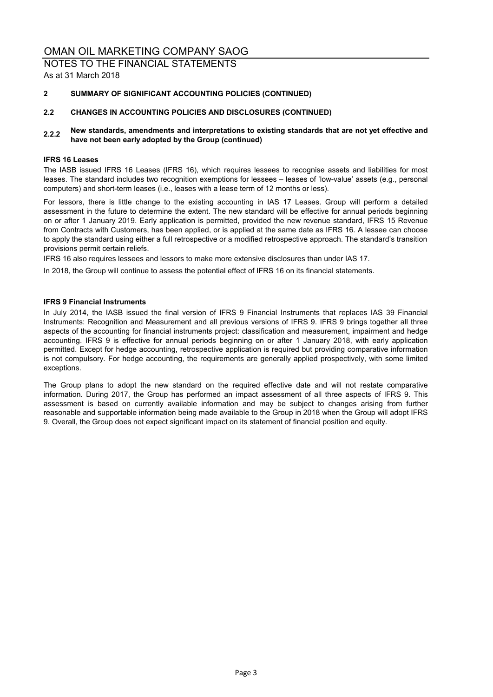NOTES TO THE FINANCIAL STATEMENTS As at 31 March 2018

# **2 SUMMARY OF SIGNIFICANT ACCOUNTING POLICIES (CONTINUED)**

# **2.2 CHANGES IN ACCOUNTING POLICIES AND DISCLOSURES (CONTINUED)**

# **2.2.2 New standards, amendments and interpretations to existing standards that are not yet effective and have not been early adopted by the Group (continued)**

#### **IFRS 16 Leases**

The IASB issued IFRS 16 Leases (IFRS 16), which requires lessees to recognise assets and liabilities for most leases. The standard includes two recognition exemptions for lessees – leases of 'low-value' assets (e.g., personal computers) and short-term leases (i.e., leases with a lease term of 12 months or less).

For lessors, there is little change to the existing accounting in IAS 17 Leases. Group will perform a detailed assessment in the future to determine the extent. The new standard will be effective for annual periods beginning on or after 1 January 2019. Early application is permitted, provided the new revenue standard, IFRS 15 Revenue from Contracts with Customers, has been applied, or is applied at the same date as IFRS 16. A lessee can choose to apply the standard using either a full retrospective or a modified retrospective approach. The standard's transition provisions permit certain reliefs.

IFRS 16 also requires lessees and lessors to make more extensive disclosures than under IAS 17.

In 2018, the Group will continue to assess the potential effect of IFRS 16 on its financial statements.

#### **IFRS 9 Financial Instruments**

In July 2014, the IASB issued the final version of IFRS 9 Financial Instruments that replaces IAS 39 Financial Instruments: Recognition and Measurement and all previous versions of IFRS 9. IFRS 9 brings together all three aspects of the accounting for financial instruments project: classification and measurement, impairment and hedge accounting. IFRS 9 is effective for annual periods beginning on or after 1 January 2018, with early application permitted. Except for hedge accounting, retrospective application is required but providing comparative information is not compulsory. For hedge accounting, the requirements are generally applied prospectively, with some limited exceptions.

The Group plans to adopt the new standard on the required effective date and will not restate comparative information. During 2017, the Group has performed an impact assessment of all three aspects of IFRS 9. This assessment is based on currently available information and may be subject to changes arising from further reasonable and supportable information being made available to the Group in 2018 when the Group will adopt IFRS 9. Overall, the Group does not expect significant impact on its statement of financial position and equity.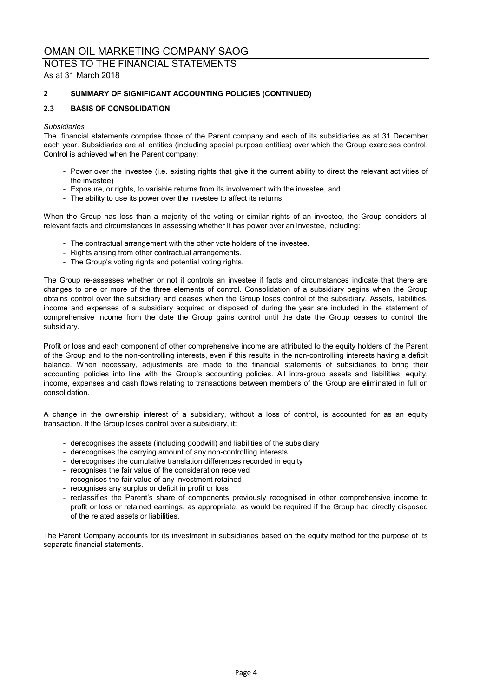NOTES TO THE FINANCIAL STATEMENTS As at 31 March 2018

# **2 SUMMARY OF SIGNIFICANT ACCOUNTING POLICIES (CONTINUED)**

# **2.3 BASIS OF CONSOLIDATION**

# *Subsidiaries*

The financial statements comprise those of the Parent company and each of its subsidiaries as at 31 December each year. Subsidiaries are all entities (including special purpose entities) over which the Group exercises control. Control is achieved when the Parent company:

- Power over the investee (i.e. existing rights that give it the current ability to direct the relevant activities of the investee)
- Exposure, or rights, to variable returns from its involvement with the investee, and
- The ability to use its power over the investee to affect its returns

When the Group has less than a majority of the voting or similar rights of an investee, the Group considers all relevant facts and circumstances in assessing whether it has power over an investee, including:

- The contractual arrangement with the other vote holders of the investee.
- Rights arising from other contractual arrangements.
- The Group's voting rights and potential voting rights.

The Group re-assesses whether or not it controls an investee if facts and circumstances indicate that there are changes to one or more of the three elements of control. Consolidation of a subsidiary begins when the Group obtains control over the subsidiary and ceases when the Group loses control of the subsidiary. Assets, liabilities, income and expenses of a subsidiary acquired or disposed of during the year are included in the statement of comprehensive income from the date the Group gains control until the date the Group ceases to control the subsidiary.

Profit or loss and each component of other comprehensive income are attributed to the equity holders of the Parent of the Group and to the non-controlling interests, even if this results in the non-controlling interests having a deficit balance. When necessary, adjustments are made to the financial statements of subsidiaries to bring their accounting policies into line with the Group's accounting policies. All intra-group assets and liabilities, equity, income, expenses and cash flows relating to transactions between members of the Group are eliminated in full on consolidation.

A change in the ownership interest of a subsidiary, without a loss of control, is accounted for as an equity transaction. If the Group loses control over a subsidiary, it:

- derecognises the assets (including goodwill) and liabilities of the subsidiary
- derecognises the carrying amount of any non-controlling interests
- derecognises the cumulative translation differences recorded in equity
- recognises the fair value of the consideration received
- recognises the fair value of any investment retained
- recognises any surplus or deficit in profit or loss
- reclassifies the Parent's share of components previously recognised in other comprehensive income to profit or loss or retained earnings, as appropriate, as would be required if the Group had directly disposed of the related assets or liabilities.

The Parent Company accounts for its investment in subsidiaries based on the equity method for the purpose of its separate financial statements.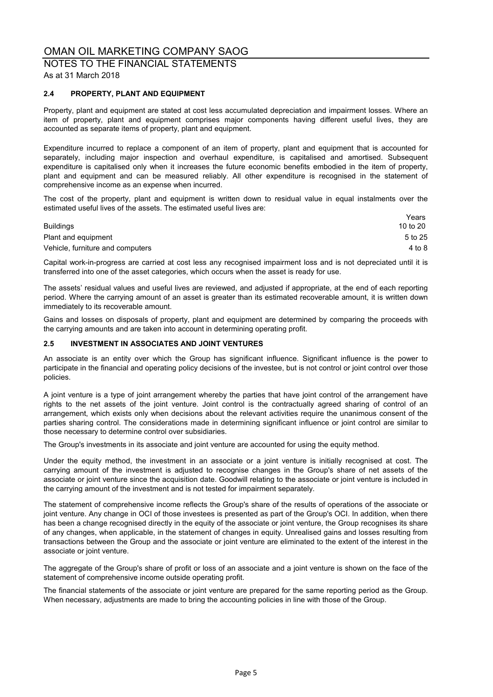# NOTES TO THE FINANCIAL STATEMENTS

As at 31 March 2018

# **2.4 PROPERTY, PLANT AND EQUIPMENT**

Property, plant and equipment are stated at cost less accumulated depreciation and impairment losses. Where an item of property, plant and equipment comprises major components having different useful lives, they are accounted as separate items of property, plant and equipment.

Expenditure incurred to replace a component of an item of property, plant and equipment that is accounted for separately, including major inspection and overhaul expenditure, is capitalised and amortised. Subsequent expenditure is capitalised only when it increases the future economic benefits embodied in the item of property, plant and equipment and can be measured reliably. All other expenditure is recognised in the statement of comprehensive income as an expense when incurred.

The cost of the property, plant and equipment is written down to residual value in equal instalments over the estimated useful lives of the assets. The estimated useful lives are:

|                                  | Years    |
|----------------------------------|----------|
| <b>Buildings</b>                 | 10 to 20 |
| Plant and equipment              | 5 to 25  |
| Vehicle, furniture and computers | 4 to 8   |

Capital work-in-progress are carried at cost less any recognised impairment loss and is not depreciated until it is transferred into one of the asset categories, which occurs when the asset is ready for use.

The assets' residual values and useful lives are reviewed, and adjusted if appropriate, at the end of each reporting period. Where the carrying amount of an asset is greater than its estimated recoverable amount, it is written down immediately to its recoverable amount.

Gains and losses on disposals of property, plant and equipment are determined by comparing the proceeds with the carrying amounts and are taken into account in determining operating profit.

# **2.5 INVESTMENT IN ASSOCIATES AND JOINT VENTURES**

An associate is an entity over which the Group has significant influence. Significant influence is the power to participate in the financial and operating policy decisions of the investee, but is not control or joint control over those policies.

A joint venture is a type of joint arrangement whereby the parties that have joint control of the arrangement have rights to the net assets of the joint venture. Joint control is the contractually agreed sharing of control of an arrangement, which exists only when decisions about the relevant activities require the unanimous consent of the parties sharing control. The considerations made in determining significant influence or joint control are similar to those necessary to determine control over subsidiaries.

The Group's investments in its associate and joint venture are accounted for using the equity method.

Under the equity method, the investment in an associate or a joint venture is initially recognised at cost. The carrying amount of the investment is adjusted to recognise changes in the Group's share of net assets of the associate or joint venture since the acquisition date. Goodwill relating to the associate or joint venture is included in the carrying amount of the investment and is not tested for impairment separately.

The statement of comprehensive income reflects the Group's share of the results of operations of the associate or joint venture. Any change in OCI of those investees is presented as part of the Group's OCI. In addition, when there has been a change recognised directly in the equity of the associate or joint venture, the Group recognises its share of any changes, when applicable, in the statement of changes in equity. Unrealised gains and losses resulting from transactions between the Group and the associate or joint venture are eliminated to the extent of the interest in the associate or joint venture.

The aggregate of the Group's share of profit or loss of an associate and a joint venture is shown on the face of the statement of comprehensive income outside operating profit.

The financial statements of the associate or joint venture are prepared for the same reporting period as the Group. When necessary, adjustments are made to bring the accounting policies in line with those of the Group.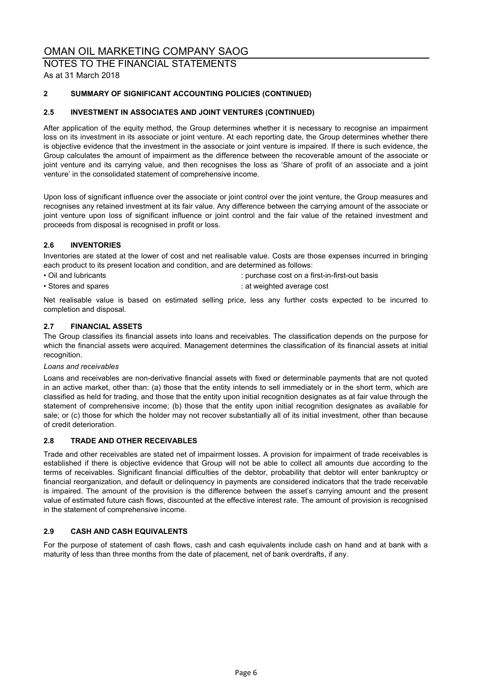# NOTES TO THE FINANCIAL STATEMENTS

As at 31 March 2018

# **2 SUMMARY OF SIGNIFICANT ACCOUNTING POLICIES (CONTINUED)**

# **2.5 INVESTMENT IN ASSOCIATES AND JOINT VENTURES (CONTINUED)**

After application of the equity method, the Group determines whether it is necessary to recognise an impairment loss on its investment in its associate or joint venture. At each reporting date, the Group determines whether there is objective evidence that the investment in the associate or joint venture is impaired. If there is such evidence, the Group calculates the amount of impairment as the difference between the recoverable amount of the associate or joint venture and its carrying value, and then recognises the loss as 'Share of profit of an associate and a joint venture' in the consolidated statement of comprehensive income.

Upon loss of significant influence over the associate or joint control over the joint venture, the Group measures and recognises any retained investment at its fair value. Any difference between the carrying amount of the associate or joint venture upon loss of significant influence or joint control and the fair value of the retained investment and proceeds from disposal is recognised in profit or loss.

# **2.6 INVENTORIES**

Inventories are stated at the lower of cost and net realisable value. Costs are those expenses incurred in bringing each product to its present location and condition, and are determined as follows:

- 
- Oil and lubricants : purchase cost on a first-in-first-out basis
- Stores and spares in the state of the state of the state of the state of the state of the state of the state of the state of the state of the state of the state of the state of the state of the state of the state of the
	-

Net realisable value is based on estimated selling price, less any further costs expected to be incurred to completion and disposal.

# **2.7 FINANCIAL ASSETS**

The Group classifies its financial assets into loans and receivables. The classification depends on the purpose for which the financial assets were acquired. Management determines the classification of its financial assets at initial recognition.

#### *Loans and receivables*

Loans and receivables are non-derivative financial assets with fixed or determinable payments that are not quoted in an active market, other than: (a) those that the entity intends to sell immediately or in the short term, which are classified as held for trading, and those that the entity upon initial recognition designates as at fair value through the statement of comprehensive income; (b) those that the entity upon initial recognition designates as available for sale; or (c) those for which the holder may not recover substantially all of its initial investment, other than because of credit deterioration.

# **2.8 TRADE AND OTHER RECEIVABLES**

Trade and other receivables are stated net of impairment losses. A provision for impairment of trade receivables is established if there is objective evidence that Group will not be able to collect all amounts due according to the terms of receivables. Significant financial difficulties of the debtor, probability that debtor will enter bankruptcy or financial reorganization, and default or delinquency in payments are considered indicators that the trade receivable is impaired. The amount of the provision is the difference between the asset's carrying amount and the present value of estimated future cash flows, discounted at the effective interest rate. The amount of provision is recognised in the statement of comprehensive income.

# **2.9 CASH AND CASH EQUIVALENTS**

For the purpose of statement of cash flows, cash and cash equivalents include cash on hand and at bank with a maturity of less than three months from the date of placement, net of bank overdrafts, if any.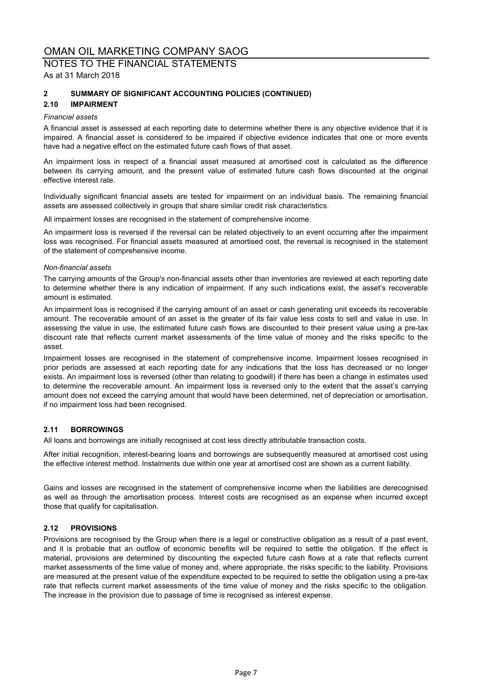# NOTES TO THE FINANCIAL STATEMENTS As at 31 March 2018

# **2 SUMMARY OF SIGNIFICANT ACCOUNTING POLICIES (CONTINUED)**

# **2.10 IMPAIRMENT**

#### *Financial assets*

A financial asset is assessed at each reporting date to determine whether there is any objective evidence that it is impaired. A financial asset is considered to be impaired if objective evidence indicates that one or more events have had a negative effect on the estimated future cash flows of that asset.

An impairment loss in respect of a financial asset measured at amortised cost is calculated as the difference between its carrying amount, and the present value of estimated future cash flows discounted at the original effective interest rate.

Individually significant financial assets are tested for impairment on an individual basis. The remaining financial assets are assessed collectively in groups that share similar credit risk characteristics.

All impairment losses are recognised in the statement of comprehensive income.

An impairment loss is reversed if the reversal can be related objectively to an event occurring after the impairment loss was recognised. For financial assets measured at amortised cost, the reversal is recognised in the statement of the statement of comprehensive income.

#### *Non-financial assets*

The carrying amounts of the Group's non-financial assets other than inventories are reviewed at each reporting date to determine whether there is any indication of impairment. If any such indications exist, the asset's recoverable amount is estimated.

An impairment loss is recognised if the carrying amount of an asset or cash generating unit exceeds its recoverable amount. The recoverable amount of an asset is the greater of its fair value less costs to sell and value in use. In assessing the value in use, the estimated future cash flows are discounted to their present value using a pre-tax discount rate that reflects current market assessments of the time value of money and the risks specific to the asset.

Impairment losses are recognised in the statement of comprehensive income. Impairment losses recognised in prior periods are assessed at each reporting date for any indications that the loss has decreased or no longer exists. An impairment loss is reversed (other than relating to goodwill) if there has been a change in estimates used to determine the recoverable amount. An impairment loss is reversed only to the extent that the asset's carrying amount does not exceed the carrying amount that would have been determined, net of depreciation or amortisation, if no impairment loss had been recognised.

# **2.11 BORROWINGS**

All loans and borrowings are initially recognised at cost less directly attributable transaction costs.

After initial recognition, interest-bearing loans and borrowings are subsequently measured at amortised cost using the effective interest method. Instalments due within one year at amortised cost are shown as a current liability.

Gains and losses are recognised in the statement of comprehensive income when the liabilities are derecognised as well as through the amortisation process. Interest costs are recognised as an expense when incurred except those that qualify for capitalisation.

# **2.12 PROVISIONS**

Provisions are recognised by the Group when there is a legal or constructive obligation as a result of a past event, and it is probable that an outflow of economic benefits will be required to settle the obligation. If the effect is material, provisions are determined by discounting the expected future cash flows at a rate that reflects current market assessments of the time value of money and, where appropriate, the risks specific to the liability. Provisions are measured at the present value of the expenditure expected to be required to settle the obligation using a pre-tax rate that reflects current market assessments of the time value of money and the risks specific to the obligation. The increase in the provision due to passage of time is recognised as interest expense.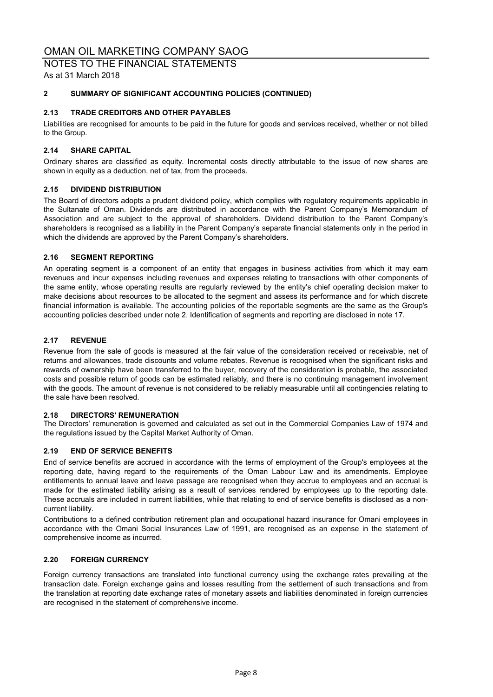NOTES TO THE FINANCIAL STATEMENTS As at 31 March 2018

# **2 SUMMARY OF SIGNIFICANT ACCOUNTING POLICIES (CONTINUED)**

# **2.13 TRADE CREDITORS AND OTHER PAYABLES**

Liabilities are recognised for amounts to be paid in the future for goods and services received, whether or not billed to the Group.

# **2.14 SHARE CAPITAL**

Ordinary shares are classified as equity. Incremental costs directly attributable to the issue of new shares are shown in equity as a deduction, net of tax, from the proceeds.

# **2.15 DIVIDEND DISTRIBUTION**

The Board of directors adopts a prudent dividend policy, which complies with regulatory requirements applicable in the Sultanate of Oman. Dividends are distributed in accordance with the Parent Company's Memorandum of Association and are subject to the approval of shareholders. Dividend distribution to the Parent Company's shareholders is recognised as a liability in the Parent Company's separate financial statements only in the period in which the dividends are approved by the Parent Company's shareholders.

#### **2.16 SEGMENT REPORTING**

An operating segment is a component of an entity that engages in business activities from which it may earn revenues and incur expenses including revenues and expenses relating to transactions with other components of the same entity, whose operating results are regularly reviewed by the entity's chief operating decision maker to make decisions about resources to be allocated to the segment and assess its performance and for which discrete financial information is available. The accounting policies of the reportable segments are the same as the Group's accounting policies described under note 2. Identification of segments and reporting are disclosed in note 17.

# **2.17 REVENUE**

Revenue from the sale of goods is measured at the fair value of the consideration received or receivable, net of returns and allowances, trade discounts and volume rebates. Revenue is recognised when the significant risks and rewards of ownership have been transferred to the buyer, recovery of the consideration is probable, the associated costs and possible return of goods can be estimated reliably, and there is no continuing management involvement with the goods. The amount of revenue is not considered to be reliably measurable until all contingencies relating to the sale have been resolved.

# **2.18 DIRECTORS' REMUNERATION**

The Directors' remuneration is governed and calculated as set out in the Commercial Companies Law of 1974 and the regulations issued by the Capital Market Authority of Oman.

# **2.19 END OF SERVICE BENEFITS**

End of service benefits are accrued in accordance with the terms of employment of the Group's employees at the reporting date, having regard to the requirements of the Oman Labour Law and its amendments. Employee entitlements to annual leave and leave passage are recognised when they accrue to employees and an accrual is made for the estimated liability arising as a result of services rendered by employees up to the reporting date. These accruals are included in current liabilities, while that relating to end of service benefits is disclosed as a noncurrent liability.

Contributions to a defined contribution retirement plan and occupational hazard insurance for Omani employees in accordance with the Omani Social Insurances Law of 1991, are recognised as an expense in the statement of comprehensive income as incurred.

# **2.20 FOREIGN CURRENCY**

Foreign currency transactions are translated into functional currency using the exchange rates prevailing at the transaction date. Foreign exchange gains and losses resulting from the settlement of such transactions and from the translation at reporting date exchange rates of monetary assets and liabilities denominated in foreign currencies are recognised in the statement of comprehensive income.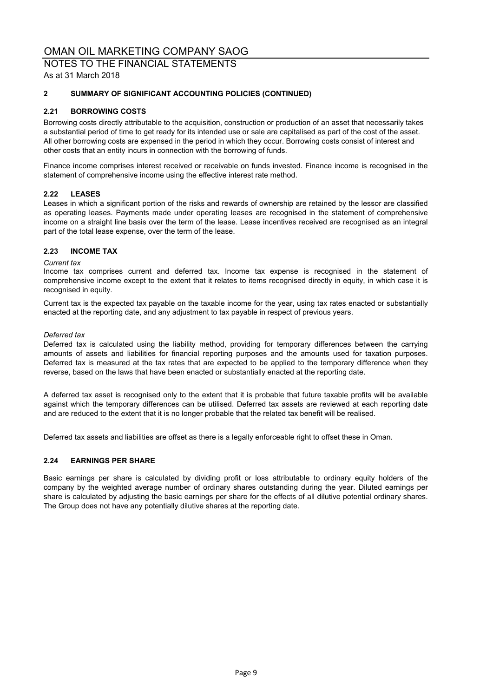NOTES TO THE FINANCIAL STATEMENTS As at 31 March 2018

# **2 SUMMARY OF SIGNIFICANT ACCOUNTING POLICIES (CONTINUED)**

# **2.21 BORROWING COSTS**

Borrowing costs directly attributable to the acquisition, construction or production of an asset that necessarily takes a substantial period of time to get ready for its intended use or sale are capitalised as part of the cost of the asset. All other borrowing costs are expensed in the period in which they occur. Borrowing costs consist of interest and other costs that an entity incurs in connection with the borrowing of funds.

Finance income comprises interest received or receivable on funds invested. Finance income is recognised in the statement of comprehensive income using the effective interest rate method.

# **2.22 LEASES**

Leases in which a significant portion of the risks and rewards of ownership are retained by the lessor are classified as operating leases. Payments made under operating leases are recognised in the statement of comprehensive income on a straight line basis over the term of the lease. Lease incentives received are recognised as an integral part of the total lease expense, over the term of the lease.

# **2.23 INCOME TAX**

# *Current tax*

Income tax comprises current and deferred tax. Income tax expense is recognised in the statement of comprehensive income except to the extent that it relates to items recognised directly in equity, in which case it is recognised in equity.

Current tax is the expected tax payable on the taxable income for the year, using tax rates enacted or substantially enacted at the reporting date, and any adjustment to tax payable in respect of previous years.

#### *Deferred tax*

Deferred tax is calculated using the liability method, providing for temporary differences between the carrying amounts of assets and liabilities for financial reporting purposes and the amounts used for taxation purposes. Deferred tax is measured at the tax rates that are expected to be applied to the temporary difference when they reverse, based on the laws that have been enacted or substantially enacted at the reporting date.

A deferred tax asset is recognised only to the extent that it is probable that future taxable profits will be available against which the temporary differences can be utilised. Deferred tax assets are reviewed at each reporting date and are reduced to the extent that it is no longer probable that the related tax benefit will be realised.

Deferred tax assets and liabilities are offset as there is a legally enforceable right to offset these in Oman.

# **2.24 EARNINGS PER SHARE**

Basic earnings per share is calculated by dividing profit or loss attributable to ordinary equity holders of the company by the weighted average number of ordinary shares outstanding during the year. Diluted earnings per share is calculated by adjusting the basic earnings per share for the effects of all dilutive potential ordinary shares. The Group does not have any potentially dilutive shares at the reporting date.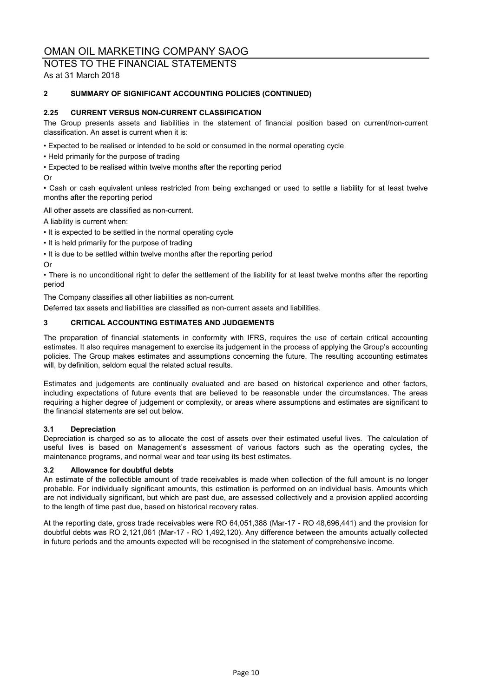# NOTES TO THE FINANCIAL STATEMENTS As at 31 March 2018

# **2 SUMMARY OF SIGNIFICANT ACCOUNTING POLICIES (CONTINUED)**

# **2.25 CURRENT VERSUS NON-CURRENT CLASSIFICATION**

The Group presents assets and liabilities in the statement of financial position based on current/non-current classification. An asset is current when it is:

• Expected to be realised or intended to be sold or consumed in the normal operating cycle

- Held primarily for the purpose of trading
- Expected to be realised within twelve months after the reporting period

#### Or

• Cash or cash equivalent unless restricted from being exchanged or used to settle a liability for at least twelve months after the reporting period

All other assets are classified as non-current.

A liability is current when:

- It is expected to be settled in the normal operating cycle
- It is held primarily for the purpose of trading
- It is due to be settled within twelve months after the reporting period

Or

• There is no unconditional right to defer the settlement of the liability for at least twelve months after the reporting period

The Company classifies all other liabilities as non-current.

Deferred tax assets and liabilities are classified as non-current assets and liabilities.

# **3 CRITICAL ACCOUNTING ESTIMATES AND JUDGEMENTS**

The preparation of financial statements in conformity with IFRS, requires the use of certain critical accounting estimates. It also requires management to exercise its judgement in the process of applying the Group's accounting policies. The Group makes estimates and assumptions concerning the future. The resulting accounting estimates will, by definition, seldom equal the related actual results.

Estimates and judgements are continually evaluated and are based on historical experience and other factors, including expectations of future events that are believed to be reasonable under the circumstances. The areas requiring a higher degree of judgement or complexity, or areas where assumptions and estimates are significant to the financial statements are set out below.

# **3.1 Depreciation**

Depreciation is charged so as to allocate the cost of assets over their estimated useful lives. The calculation of useful lives is based on Management's assessment of various factors such as the operating cycles, the maintenance programs, and normal wear and tear using its best estimates.

# **3.2 Allowance for doubtful debts**

An estimate of the collectible amount of trade receivables is made when collection of the full amount is no longer probable. For individually significant amounts, this estimation is performed on an individual basis. Amounts which are not individually significant, but which are past due, are assessed collectively and a provision applied according to the length of time past due, based on historical recovery rates.

At the reporting date, gross trade receivables were RO 64,051,388 (Mar-17 - RO 48,696,441) and the provision for doubtful debts was RO 2,121,061 (Mar-17 - RO 1,492,120). Any difference between the amounts actually collected in future periods and the amounts expected will be recognised in the statement of comprehensive income.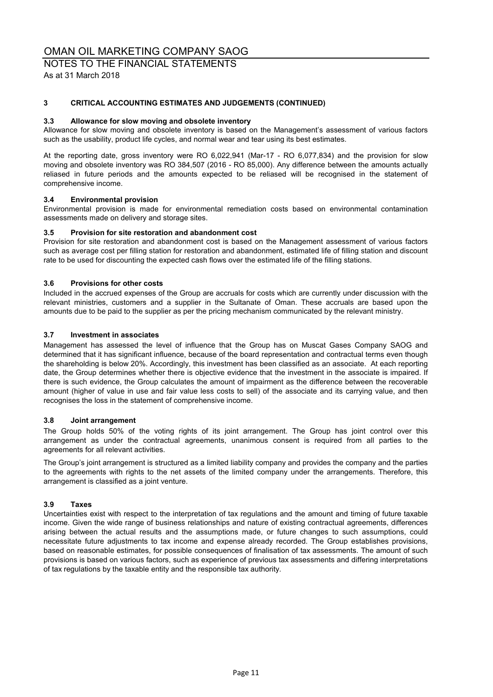# NOTES TO THE FINANCIAL STATEMENTS As at 31 March 2018

# **3 CRITICAL ACCOUNTING ESTIMATES AND JUDGEMENTS (CONTINUED)**

#### **3.3 Allowance for slow moving and obsolete inventory**

Allowance for slow moving and obsolete inventory is based on the Management's assessment of various factors such as the usability, product life cycles, and normal wear and tear using its best estimates.

At the reporting date, gross inventory were RO 6,022,941 (Mar-17 - RO 6,077,834) and the provision for slow moving and obsolete inventory was RO 384,507 (2016 - RO 85,000). Any difference between the amounts actually reliased in future periods and the amounts expected to be reliased will be recognised in the statement of comprehensive income.

#### **3.4 Environmental provision**

Environmental provision is made for environmental remediation costs based on environmental contamination assessments made on delivery and storage sites.

#### **3.5 Provision for site restoration and abandonment cost**

Provision for site restoration and abandonment cost is based on the Management assessment of various factors such as average cost per filling station for restoration and abandonment, estimated life of filling station and discount rate to be used for discounting the expected cash flows over the estimated life of the filling stations.

#### **3.6 Provisions for other costs**

Included in the accrued expenses of the Group are accruals for costs which are currently under discussion with the relevant ministries, customers and a supplier in the Sultanate of Oman. These accruals are based upon the amounts due to be paid to the supplier as per the pricing mechanism communicated by the relevant ministry.

#### **3.7 Investment in associates**

Management has assessed the level of influence that the Group has on Muscat Gases Company SAOG and determined that it has significant influence, because of the board representation and contractual terms even though the shareholding is below 20%. Accordingly, this investment has been classified as an associate. At each reporting date, the Group determines whether there is objective evidence that the investment in the associate is impaired. If there is such evidence, the Group calculates the amount of impairment as the difference between the recoverable amount (higher of value in use and fair value less costs to sell) of the associate and its carrying value, and then recognises the loss in the statement of comprehensive income.

#### **3.8 Joint arrangement**

The Group holds 50% of the voting rights of its joint arrangement. The Group has joint control over this arrangement as under the contractual agreements, unanimous consent is required from all parties to the agreements for all relevant activities.

The Group's joint arrangement is structured as a limited liability company and provides the company and the parties to the agreements with rights to the net assets of the limited company under the arrangements. Therefore, this arrangement is classified as a joint venture.

# **3.9 Taxes**

Uncertainties exist with respect to the interpretation of tax regulations and the amount and timing of future taxable income. Given the wide range of business relationships and nature of existing contractual agreements, differences arising between the actual results and the assumptions made, or future changes to such assumptions, could necessitate future adjustments to tax income and expense already recorded. The Group establishes provisions, based on reasonable estimates, for possible consequences of finalisation of tax assessments. The amount of such provisions is based on various factors, such as experience of previous tax assessments and differing interpretations of tax regulations by the taxable entity and the responsible tax authority.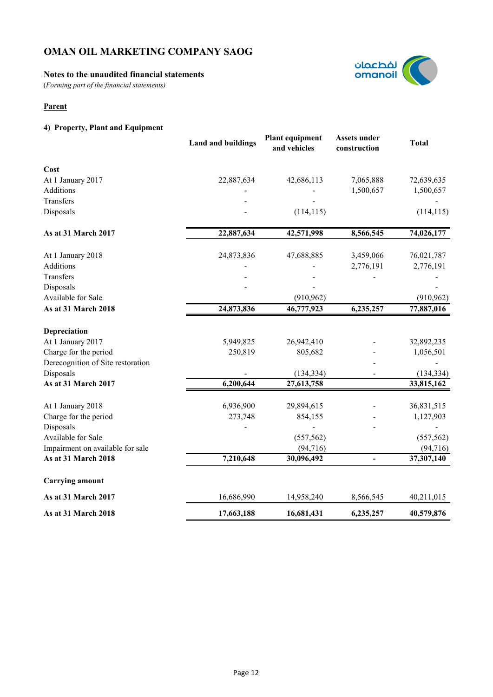# **Notes to the unaudited financial statements**

(*Forming part of the financial statements)*

# **Parent**

# **4) Property, Plant and Equipment**

|                                   | <b>Land and buildings</b> | <b>Plant equipment</b><br>and vehicles | <b>Assets under</b><br>construction | <b>Total</b> |
|-----------------------------------|---------------------------|----------------------------------------|-------------------------------------|--------------|
| Cost                              |                           |                                        |                                     |              |
| At 1 January 2017                 | 22,887,634                | 42,686,113                             | 7,065,888                           | 72,639,635   |
| Additions                         |                           |                                        | 1,500,657                           | 1,500,657    |
| Transfers                         |                           |                                        |                                     |              |
| Disposals                         |                           | (114, 115)                             |                                     | (114, 115)   |
| As at 31 March 2017               | 22,887,634                | 42,571,998                             | 8,566,545                           | 74,026,177   |
| At 1 January 2018                 | 24,873,836                | 47,688,885                             | 3,459,066                           | 76,021,787   |
| <b>Additions</b>                  |                           |                                        | 2,776,191                           | 2,776,191    |
| Transfers                         |                           |                                        |                                     |              |
| Disposals                         |                           |                                        |                                     |              |
| Available for Sale                |                           | (910, 962)                             |                                     | (910, 962)   |
| As at 31 March 2018               | 24,873,836                | 46,777,923                             | 6,235,257                           | 77,887,016   |
| Depreciation                      |                           |                                        |                                     |              |
| At 1 January 2017                 | 5,949,825                 | 26,942,410                             |                                     | 32,892,235   |
| Charge for the period             | 250,819                   | 805,682                                |                                     | 1,056,501    |
| Derecognition of Site restoration |                           |                                        |                                     |              |
| Disposals                         |                           | (134, 334)                             |                                     | (134, 334)   |
| As at 31 March 2017               | 6,200,644                 | 27,613,758                             |                                     | 33,815,162   |
| At 1 January 2018                 | 6,936,900                 | 29,894,615                             |                                     | 36,831,515   |
| Charge for the period             | 273,748                   | 854,155                                |                                     | 1,127,903    |
| Disposals                         |                           |                                        |                                     |              |
| Available for Sale                |                           | (557, 562)                             |                                     | (557, 562)   |
| Impairment on available for sale  |                           | (94, 716)                              |                                     | (94, 716)    |
| As at 31 March 2018               | 7,210,648                 | 30,096,492                             |                                     | 37,307,140   |
| <b>Carrying amount</b>            |                           |                                        |                                     |              |
| As at 31 March 2017               | 16,686,990                | 14,958,240                             | 8,566,545                           | 40,211,015   |
| As at 31 March 2018               | 17,663,188                | 16,681,431                             | 6,235,257                           | 40,579,876   |

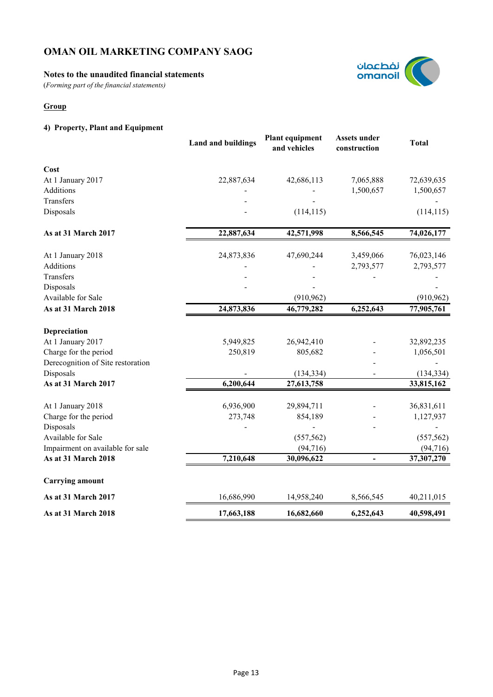# **Notes to the unaudited financial statements**

(*Forming part of the financial statements)*

# **Group**

# **4) Property, Plant and Equipment**

|                                   | <b>Land and buildings</b> | <b>Plant equipment</b><br>and vehicles | <b>Assets under</b><br>construction | <b>Total</b> |
|-----------------------------------|---------------------------|----------------------------------------|-------------------------------------|--------------|
| Cost                              |                           |                                        |                                     |              |
| At 1 January 2017                 | 22,887,634                | 42,686,113                             | 7,065,888                           | 72,639,635   |
| Additions                         |                           |                                        | 1,500,657                           | 1,500,657    |
| Transfers                         |                           |                                        |                                     |              |
| Disposals                         |                           | (114, 115)                             |                                     | (114, 115)   |
| As at 31 March 2017               | 22,887,634                | 42,571,998                             | 8,566,545                           | 74,026,177   |
| At 1 January 2018                 | 24,873,836                | 47,690,244                             | 3,459,066                           | 76,023,146   |
| <b>Additions</b>                  |                           |                                        | 2,793,577                           | 2,793,577    |
| Transfers                         |                           |                                        |                                     |              |
| Disposals                         |                           |                                        |                                     |              |
| Available for Sale                |                           | (910, 962)                             |                                     | (910, 962)   |
| As at 31 March 2018               | 24,873,836                | 46,779,282                             | 6,252,643                           | 77,905,761   |
| Depreciation                      |                           |                                        |                                     |              |
| At 1 January 2017                 | 5,949,825                 | 26,942,410                             |                                     | 32,892,235   |
| Charge for the period             | 250,819                   | 805,682                                |                                     | 1,056,501    |
| Derecognition of Site restoration |                           |                                        |                                     |              |
| Disposals                         |                           | (134, 334)                             |                                     | (134, 334)   |
| As at 31 March 2017               | 6,200,644                 | 27,613,758                             |                                     | 33,815,162   |
| At 1 January 2018                 | 6,936,900                 | 29,894,711                             |                                     | 36,831,611   |
| Charge for the period             | 273,748                   | 854,189                                |                                     | 1,127,937    |
| Disposals                         |                           |                                        |                                     |              |
| Available for Sale                |                           | (557, 562)                             |                                     | (557, 562)   |
| Impairment on available for sale  |                           | (94, 716)                              |                                     | (94, 716)    |
| As at 31 March 2018               | 7,210,648                 | 30,096,622                             |                                     | 37,307,270   |
| <b>Carrying amount</b>            |                           |                                        |                                     |              |
| As at 31 March 2017               | 16,686,990                | 14,958,240                             | 8,566,545                           | 40,211,015   |
| As at 31 March 2018               | 17,663,188                | 16,682,660                             | 6,252,643                           | 40,598,491   |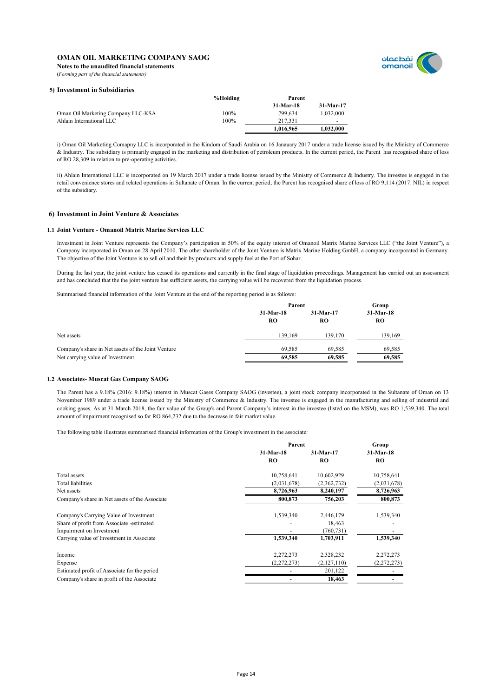

**Notes to the unaudited financial statements** (*Forming part of the financial statements)*

#### **5) Investment in Subsidiaries**

|                                    | %Holding | Parent    |                          |
|------------------------------------|----------|-----------|--------------------------|
|                                    |          | 31-Mar-18 | 31-Mar-17                |
| Oman Oil Marketing Company LLC-KSA | 100%     | 799.634   | 1.032.000                |
| Ahlain International LLC           | 100%     | 217.331   | $\overline{\phantom{0}}$ |
|                                    |          | 1,016,965 | 1,032,000                |

i) Oman Oil Marketing Comapny LLC is incorporated in the Kindom of Saudi Arabia on 16 Janauary 2017 under a trade license issued by the Ministry of Commerce & Industry. The subsidiary is primarily engaged in the marketing and distribution of petroleum products. In the current period, the Parent has recognised share of loss of RO 28,309 in relation to pre-operating activities.

ii) Ahlain International LLC is incorporated on 19 March 2017 under a trade license issued by the Ministry of Commerce & Industry. The investee is engaged in the retail convenience stores and related operations in Sultanate of Oman. In the current period, the Parent has recognised share of loss of RO 9,114 (2017: NIL) in respect of the subsidiary.

#### **6) Investment in Joint Venture & Associates**

#### **1.1 Joint Venture - Omanoil Matrix Marine Services LLC**

Investment in Joint Venture represents the Company's participation in 50% of the equity interest of Omanoil Matrix Marine Services LLC ("the Joint Venture"), a Company incorporated in Oman on 28 April 2010. The other shareholder of the Joint Venture is Matrix Marine Holding GmbH, a company incorporated in Germany. The objective of the Joint Venture is to sell oil and their by products and supply fuel at the Port of Sohar.

During the last year, the joint venture has ceased its operations and currently in the final stage of liquidation proceedings. Management has carried out an assessment and has concluded that the the joint venture has sufficient assets, the carrying value will be recovered from the liquidation process.

Summarised financial information of the Joint Venture at the end of the reporting period is as follows:

|                                                    |                   | Parent          |                 |
|----------------------------------------------------|-------------------|-----------------|-----------------|
|                                                    | $31-Mar-18$<br>RO | 31-Mar-17<br>RO | 31-Mar-18<br>RO |
| Net assets                                         | 139.169           | 139.170         | 139,169         |
| Company's share in Net assets of the Joint Venture | 69.585            | 69.585          | 69,585          |
| Net carrying value of Investment.                  | 69.585            | 69,585          | 69,585          |

#### **1.2 Associates- Muscat Gas Company SAOG**

The Parent has a 9.18% (2016: 9.18%) interest in Muscat Gases Company SAOG (investee), a joint stock company incorporated in the Sultanate of Oman on 13 November 1989 under a trade license issued by the Ministry of Commerce & Industry. The investee is engaged in the manufacturing and selling of industrial and cooking gases. As at 31 March 2018, the fair value of the Group's and Parent Company's interest in the investee (listed on the MSM), was RO 1,539,340. The total amount of impairment recognised so far RO 864,232 due to the decrease in fair market value.

The following table illustrates summarised financial information of the Group's investment in the associate:

|                                                |             | Parent      |             |
|------------------------------------------------|-------------|-------------|-------------|
|                                                | 31-Mar-18   | 31-Mar-17   | 31-Mar-18   |
|                                                | RO          | RO.         | RO.         |
| Total assets                                   | 10,758,641  | 10,602,929  | 10,758,641  |
| <b>Total liabilities</b>                       | (2,031,678) | (2,362,732) | (2,031,678) |
| Net assets                                     | 8,726,963   | 8,240,197   | 8,726,963   |
| Company's share in Net assets of the Associate | 800,873     | 756,203     | 800,873     |
| Company's Carrying Value of Investment         | 1,539,340   | 2,446,179   | 1,539,340   |
| Share of profit from Associate -estimated      |             | 18,463      |             |
| Impairment on Investment                       |             | (760, 731)  |             |
| Carrying value of Investment in Associate      | 1,539,340   | 1,703,911   | 1,539,340   |
| Income                                         | 2,272,273   | 2,328,232   | 2,272,273   |
| Expense                                        | (2,272,273) | (2,127,110) | (2,272,273) |
| Estimated profit of Associate for the period   |             | 201,122     |             |
| Company's share in profit of the Associate     |             | 18,463      |             |
|                                                |             |             |             |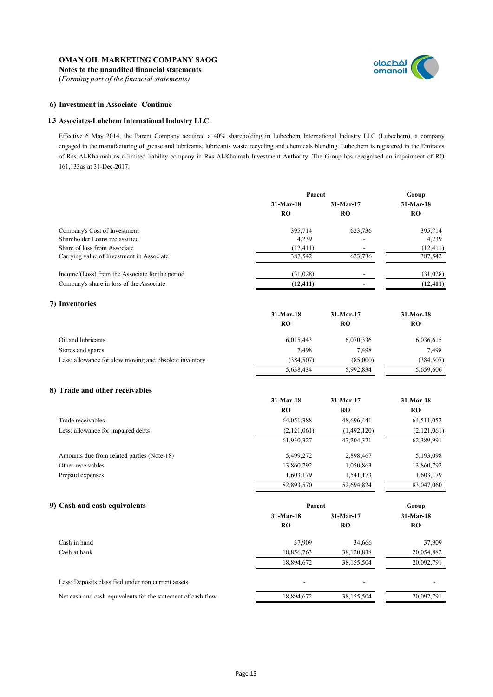**Notes to the unaudited financial statements** (*Forming part of the financial statements)*



### **6) Investment in Associate -Continue**

#### **1.3 Associates-Lubchem International Industry LLC**

Effective 6 May 2014, the Parent Company acquired a 40% shareholding in Lubechem International Industry LLC (Lubechem), a company engaged in the manufacturing of grease and lubricants, lubricants waste recycling and chemicals blending. Lubechem is registered in the Emirates of Ras Al-Khaimah as a limited liability company in Ras Al-Khaimah Investment Authority. The Group has recognised an impairment of RO 161,133as at 31-Dec-2017.

|                                                        | Parent      |             | Group       |  |
|--------------------------------------------------------|-------------|-------------|-------------|--|
|                                                        | 31-Mar-18   | 31-Mar-17   | 31-Mar-18   |  |
|                                                        | <b>RO</b>   | <b>RO</b>   | RO          |  |
| Company's Cost of Investment                           | 395,714     | 623,736     | 395,714     |  |
| Shareholder Loans reclassified                         | 4,239       |             | 4,239       |  |
| Share of loss from Associate                           | (12, 411)   |             | (12, 411)   |  |
| Carrying value of Investment in Associate              | 387,542     | 623,736     | 387.542     |  |
| Income/(Loss) from the Associate for the period        | (31,028)    |             | (31,028)    |  |
| Company's share in loss of the Associate               | (12, 411)   |             | (12, 411)   |  |
| 7) Inventories                                         |             |             |             |  |
|                                                        | 31-Mar-18   | 31-Mar-17   | 31-Mar-18   |  |
|                                                        | <b>RO</b>   | <b>RO</b>   | <b>RO</b>   |  |
| Oil and lubricants                                     | 6,015,443   | 6,070,336   | 6,036,615   |  |
| Stores and spares                                      | 7,498       | 7,498       | 7,498       |  |
| Less: allowance for slow moving and obsolete inventory | (384, 507)  | (85,000)    | (384, 507)  |  |
|                                                        | 5,638,434   | 5,992,834   | 5,659,606   |  |
| 8) Trade and other receivables                         |             |             |             |  |
|                                                        | 31-Mar-18   | 31-Mar-17   | 31-Mar-18   |  |
|                                                        | <b>RO</b>   | <b>RO</b>   | <b>RO</b>   |  |
| Trade receivables                                      | 64,051,388  | 48,696,441  | 64,511,052  |  |
| Less: allowance for impaired debts                     | (2,121,061) | (1,492,120) | (2,121,061) |  |
|                                                        | 61,930,327  | 47,204,321  | 62,389,991  |  |
| Amounts due from related parties (Note-18)             | 5,499,272   | 2,898,467   | 5,193,098   |  |
| Other receivables                                      | 13,860,792  | 1,050,863   | 13,860,792  |  |
| Prepaid expenses                                       | 1,603,179   | 1,541,173   | 1,603,179   |  |
|                                                        | 82,893,570  | 52,694,824  | 83,047,060  |  |
| 9) Cash and cash equivalents                           | Parent      |             | Group       |  |
|                                                        | 31-Mar-18   | 31-Mar-17   | 31-Mar-18   |  |
|                                                        | <b>RO</b>   | <b>RO</b>   | RO          |  |

| Cash in hand                                                 | 37.909     | 34.666     | 37,909     |
|--------------------------------------------------------------|------------|------------|------------|
| Cash at bank                                                 | 18,856,763 | 38,120,838 | 20,054,882 |
|                                                              | 18,894,672 | 38,155,504 | 20,092,791 |
| Less: Deposits classified under non current assets           |            |            |            |
| Net cash and cash equivalents for the statement of cash flow | 18,894,672 | 38,155,504 | 20,092,791 |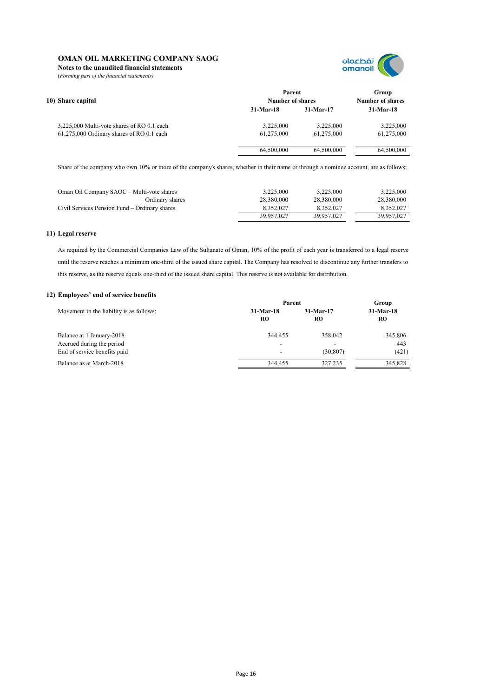**Notes to the unaudited financial statements**

(*Forming part of the financial statements)*



| 10) Share capital                          | Parent<br>Number of shares | Group<br><b>Number of shares</b> |             |
|--------------------------------------------|----------------------------|----------------------------------|-------------|
|                                            | $31-Mar-18$                | $31-Mar-17$                      | $31-Mar-18$ |
| 3,225,000 Multi-vote shares of RO 0.1 each | 3,225,000                  | 3,225,000                        | 3,225,000   |
| 61,275,000 Ordinary shares of RO 0.1 each  | 61,275,000                 | 61,275,000                       | 61,275,000  |
|                                            | 64,500,000                 | 64,500,000                       | 64,500,000  |

Share of the company who own 10% or more of the company's shares, whether in their name or through a nominee account, are as follows;

| Oman Oil Company SAOC - Multi-vote shares     | 3.225,000  | 3.225.000  | 3,225,000  |
|-----------------------------------------------|------------|------------|------------|
| – Ordinary shares                             | 28.380.000 | 28.380.000 | 28,380,000 |
| Civil Services Pension Fund – Ordinary shares | 8.352.027  | 8,352,027  | 8.352.027  |
|                                               | 39.957.027 | 39.957.027 | 39.957.027 |

### **11) Legal reserve**

As required by the Commercial Companies Law of the Sultanate of Oman, 10% of the profit of each year is transferred to a legal reserve until the reserve reaches a minimum one-third of the issued share capital. The Company has resolved to discontinue any further transfers to this reserve, as the reserve equals one-third of the issued share capital. This reserve is not available for distribution.

#### **12) Employees' end of service benefits**

|                                          | Parent                   | Group       |             |  |
|------------------------------------------|--------------------------|-------------|-------------|--|
| Movement in the liability is as follows: | $31-Mar-18$              | $31-Mar-17$ | $31-Mar-18$ |  |
|                                          | RO                       | RO          | <b>RO</b>   |  |
| Balance at 1 January-2018                | 344.455                  | 358,042     | 345,806     |  |
| Accrued during the period                | $\overline{\phantom{a}}$ |             | 443         |  |
| End of service benefits paid             | $\overline{\phantom{a}}$ | (30, 807)   | (421)       |  |
| Balance as at March-2018                 | 344.455                  | 327,235     | 345,828     |  |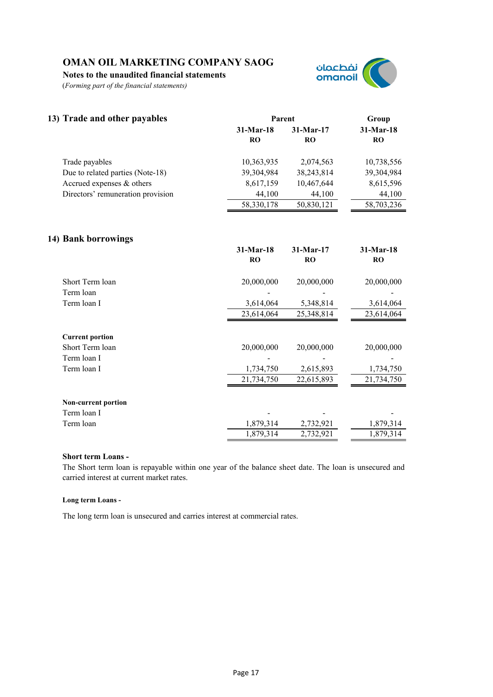**Notes to the unaudited financial statements**

(*Forming part of the financial statements)*



| 13) Trade and other payables      |                          | Parent              |                          |
|-----------------------------------|--------------------------|---------------------|--------------------------|
|                                   | $31-Mar-18$<br><b>RO</b> | $31$ -Mar-17<br>RO. | $31-Mar-18$<br><b>RO</b> |
| Trade payables                    | 10,363,935               | 2,074,563           | 10,738,556               |
| Due to related parties (Note-18)  | 39,304,984               | 38,243,814          | 39,304,984               |
| Accrued expenses & others         | 8,617,159                | 10,467,644          | 8,615,596                |
| Directors' remuneration provision | 44,100                   | 44,100              | 44,100                   |
|                                   | 58, 330, 178             | 50,830,121          | 58,703,236               |
|                                   |                          |                     |                          |

# **14) Bank borrowings**

| $31-Mar-18$<br><b>RO</b>              | 31-Mar-17<br><b>RO</b>                | 31-Mar-18<br><b>RO</b>                |
|---------------------------------------|---------------------------------------|---------------------------------------|
| 20,000,000                            | 20,000,000                            | 20,000,000                            |
|                                       |                                       |                                       |
| 3,614,064                             | 5,348,814                             | 3,614,064                             |
| 23,614,064                            | 25,348,814                            | 23,614,064                            |
| 20,000,000<br>1,734,750<br>21,734,750 | 20,000,000<br>2,615,893<br>22,615,893 | 20,000,000<br>1,734,750<br>21,734,750 |
|                                       |                                       |                                       |
|                                       |                                       |                                       |
| 1,879,314                             | 2,732,921                             | 1,879,314                             |
| 1,879,314                             | 2,732,921                             | 1,879,314                             |
|                                       |                                       |                                       |

# **Short term Loans -**

The Short term loan is repayable within one year of the balance sheet date. The loan is unsecured and carried interest at current market rates.

#### **Long term Loans -**

The long term loan is unsecured and carries interest at commercial rates.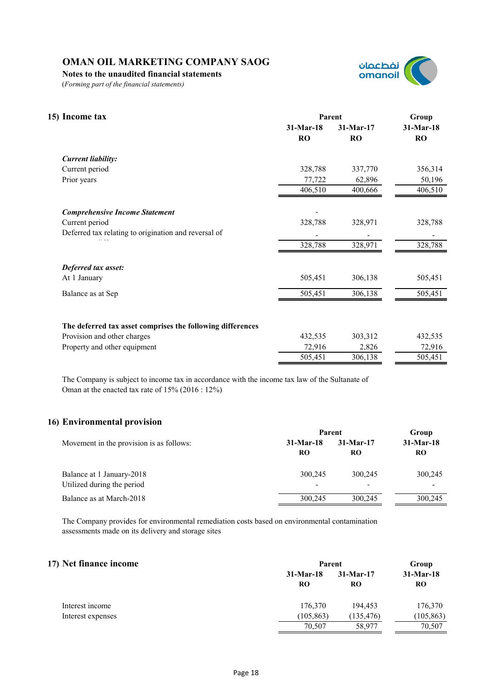**Notes to the unaudited financial statements**

(*Forming part of the financial statements)*



| 15) Income tax                                             | Parent      | Group       |           |
|------------------------------------------------------------|-------------|-------------|-----------|
|                                                            | $31-Mar-18$ | $31-Mar-17$ | 31-Mar-18 |
|                                                            | <b>RO</b>   | <b>RO</b>   | <b>RO</b> |
| <b>Current liability:</b>                                  |             |             |           |
| Current period                                             | 328,788     | 337,770     | 356,314   |
| Prior years                                                | 77,722      | 62,896      | 50,196    |
|                                                            | 406,510     | 400,666     | 406,510   |
| <b>Comprehensive Income Statement</b>                      |             |             |           |
| Current period                                             | 328,788     | 328,971     | 328,788   |
| Deferred tax relating to origination and reversal of       |             |             |           |
|                                                            | 328,788     | 328,971     | 328,788   |
| Deferred tax asset:                                        |             |             |           |
| At 1 January                                               | 505,451     | 306,138     | 505,451   |
| Balance as at Sep                                          | 505,451     | 306,138     | 505,451   |
|                                                            |             |             |           |
| The deferred tax asset comprises the following differences |             |             |           |
| Provision and other charges                                | 432,535     | 303,312     | 432,535   |
| Property and other equipment                               | 72,916      | 2,826       | 72,916    |
|                                                            | 505,451     | 306,138     | 505,451   |

The Company is subject to income tax in accordance with the income tax law of the Sultanate of Oman at the enacted tax rate of 15% (2016 : 12%)

# **16) Environmental provision**

|                                          | Parent      | Group                    |             |
|------------------------------------------|-------------|--------------------------|-------------|
| Movement in the provision is as follows: | $31-Mar-18$ | $31-Mar-17$              | $31-Mar-18$ |
|                                          | <b>RO</b>   | RO.                      | <b>RO</b>   |
| Balance at 1 January-2018                | 300,245     | 300.245                  | 300,245     |
| Utilized during the period               | -           | $\overline{\phantom{0}}$ |             |
| Balance as at March-2018                 | 300,245     | 300,245                  | 300,245     |

The Company provides for environmental remediation costs based on environmental contamination assessments made on its delivery and storage sites

# **17) Net finance income Group**

| ) Net finance income |                   | Parent                   |                          |  |
|----------------------|-------------------|--------------------------|--------------------------|--|
|                      | $31-Mar-18$<br>RO | $31-Mar-17$<br><b>RO</b> | $31-Mar-18$<br><b>RO</b> |  |
| Interest income      | 176.370           | 194.453                  | 176,370                  |  |
| Interest expenses    | (105, 863)        | (135, 476)               | (105, 863)               |  |
|                      | 70,507            | 58,977                   | 70,507                   |  |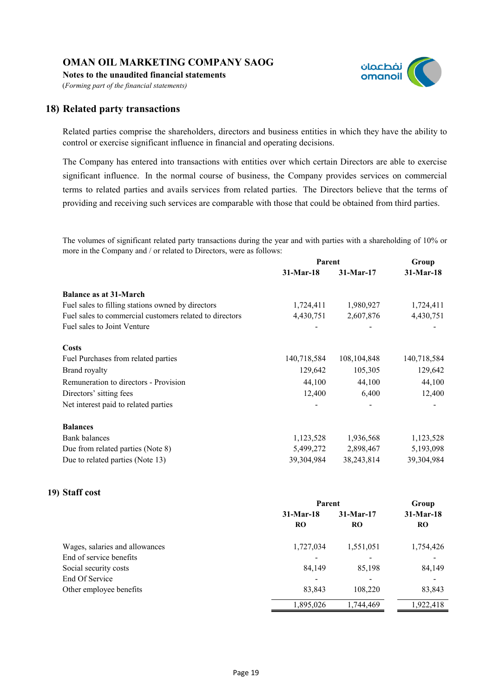**Notes to the unaudited financial statements**

(*Forming part of the financial statements)*

# **18) Related party transactions**

Related parties comprise the shareholders, directors and business entities in which they have the ability to control or exercise significant influence in financial and operating decisions.

نفطعمان omanoil

The Company has entered into transactions with entities over which certain Directors are able to exercise significant influence. In the normal course of business, the Company provides services on commercial terms to related parties and avails services from related parties. The Directors believe that the terms of providing and receiving such services are comparable with those that could be obtained from third parties.

The volumes of significant related party transactions during the year and with parties with a shareholding of 10% or more in the Company and / or related to Directors, were as follows:

|                                                         | Parent      |               | Group       |
|---------------------------------------------------------|-------------|---------------|-------------|
|                                                         | $31-Mar-18$ | $31-Mar-17$   | 31-Mar-18   |
| <b>Balance as at 31-March</b>                           |             |               |             |
| Fuel sales to filling stations owned by directors       | 1,724,411   | 1,980,927     | 1,724,411   |
| Fuel sales to commercial customers related to directors | 4,430,751   | 2,607,876     | 4,430,751   |
| Fuel sales to Joint Venture                             |             |               |             |
| <b>Costs</b>                                            |             |               |             |
| Fuel Purchases from related parties                     | 140,718,584 | 108, 104, 848 | 140,718,584 |
| Brand royalty                                           | 129,642     | 105,305       | 129,642     |
| Remuneration to directors - Provision                   | 44,100      | 44,100        | 44,100      |
| Directors' sitting fees                                 | 12,400      | 6,400         | 12,400      |
| Net interest paid to related parties                    |             |               |             |
| <b>Balances</b>                                         |             |               |             |
| <b>Bank</b> balances                                    | 1,123,528   | 1,936,568     | 1,123,528   |
| Due from related parties (Note 8)                       | 5,499,272   | 2,898,467     | 5,193,098   |
| Due to related parties (Note 13)                        | 39,304,984  | 38,243,814    | 39,304,984  |

# **19) Staff cost**

|                                | Parent         |                          | Group       |  |
|--------------------------------|----------------|--------------------------|-------------|--|
|                                | $31-Mar-18$    | $31-Mar-17$              | $31-Mar-18$ |  |
|                                | R <sub>O</sub> | <b>RO</b>                | <b>RO</b>   |  |
| Wages, salaries and allowances | 1,727,034      | 1,551,051                | 1,754,426   |  |
| End of service benefits        |                |                          |             |  |
| Social security costs          | 84,149         | 85,198                   | 84,149      |  |
| End Of Service                 |                | $\overline{\phantom{0}}$ |             |  |
| Other employee benefits        | 83,843         | 108,220                  | 83,843      |  |
|                                | 1,895,026      | 1,744,469                | 1,922,418   |  |